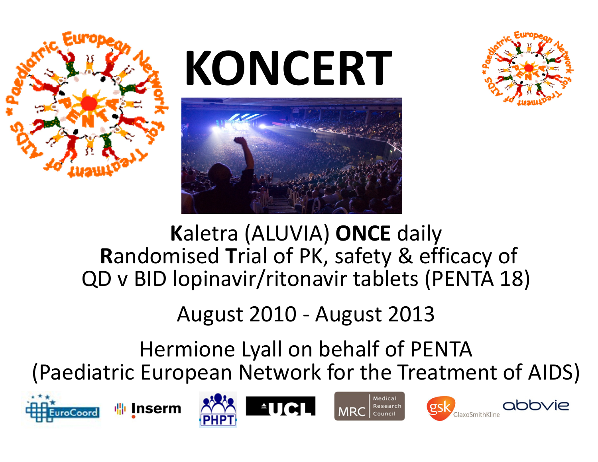

# **KONCERT**





#### **<sup>K</sup>**aletra (ALUVIA) **ONCE** daily **R**andomised **T**rial of PK, safety & efficacy ofQD v BID lopinavir/ritonavir tablets (PENTA 18)

#### August 2010 - August 2013

Hermione Lyall on behalf of PENTA(Paediatric European Network for the Treatment of AIDS)











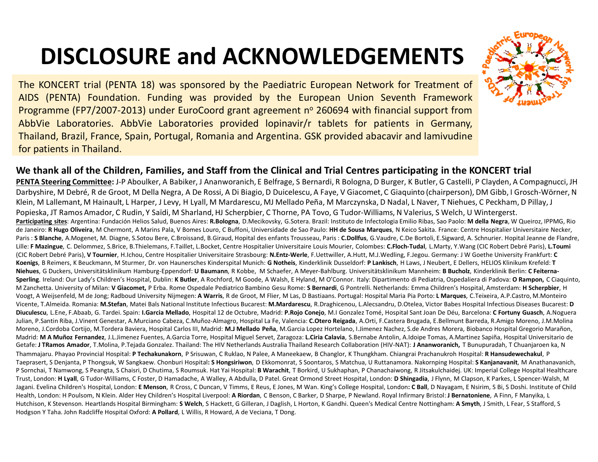### **DISCLOSURE and ACKNOWLEDGEMENTS**

The KONCERT trial (PENTA 18) was sponsored by the Paediatric European Network for Treatment of AIDS (PENTA) Foundation. Funding was provided by the European Union Seventh Framework Programme (FP7/2007-2013) under EuroCoord grant agreement nº 260694 with financial support from AbbVie Laboratories. AbbVie Laboratories provided lopinavir/r tablets for patients in Germany, Thailand, Brazil, France, Spain, Portugal, Romania and Argentina. GSK provided abacavir and lamivudine for patients in Thailand.

#### **We thank all of the Children, Families, and Staff from the Clinical and Trial Centres participating in the KONCERT trial**

**PENTA Steering Committee:** J-P Aboulker, A Babiker, J Ananworanich, E Belfrage, S Bernardi, R Bologna, D Burger, K Butler, G Castelli, P Clayden, A Compagnucci, JH Darbyshire, M Debré, R de Groot, M Della Negra, A De Rossi, A Di Biagio, D Duicelescu, A Faye, V Giacomet, C Giaquinto (chairperson), DM Gibb, I Grosch-Wörner, N Klein, M Lallemant, M Hainault, L Harper, J Levy, H Lyall, M Mardarescu, MJ Mellado Peña, M Marczynska, D Nadal, L Naver, T Niehues, C Peckham, D Pillay, J Popieska, JT Ramos Amador, C Rudin, Y Saïdi, M Sharland, HJ Scherpbier, C Thorne, PA Tovo, G Tudor-Williams, N Valerius, S Welch, U Wintergerst. **Participating sites**: Argentina: Fundación Helios Salud, Buenos Aires: **R.Bologna**, D.Mecikovsky, G.Sotera. Brazil: Instituto de Infectologia Emilio Ribas, Sao Paolo: **M della Negra**, W Queiroz, IPPMG, Rio de Janeiro: **R Hugo Oliveira**, M Chermont, A Marins Pala, V Bomes Louro, C Buffoni, Universidade de Sao Paulo: **HH de Sousa Marques**, N Keico Sakita. France: Centre Hospitalier Universitaire Necker, Paris : **S Blanche**, A.Mogenet, M. Diagne, S.Sotou Bere, C.Broissand, B.Giraud, Hopital des enfants Trousseau, Paris : **C.Dollfus**, G.Vaudre, C.De Bortoli, E.Sigward, A. Schnurier. Hopital Jeanne de Flandre, Lille: **F Mazingue**, C. Delommez, S.Brice, B.Thielemans, F.Taillet, L.Bocket, Centre Hospitalier Universitaire Louis Mourier, Colombes: **C.Floch-Tudal**, L.Marty, Y.Wang (CIC Robert Debré Paris), **L.Toumi**(CIC Robert Debré Paris), **V Tournier**, H.Ichou, Centre Hospitalier Universitaire Strasbourg: **N.Entz-Werle**, F.Uettwiller, A.Hutt, M.J.Wedling, F.Jegou. Germany: J W Goethe University Frankfurt: **C Koenigs**, B Reimers, K Beuckmann, M Sturmer, Dr. von Haunersches Kinderspital Munich: **G Notheis**, Kinderklinik Dusseldorf: **P Lankisch**, H Laws, J Neubert, E Dellers, HELIOS Klinikum Krefeld: **T Niehues**, G Duckers, Universitätsklinikum Hamburg-Eppendorf: **U Baumann**, R Kobbe, M Schaefer, A Meyer-Bahlburg. Universitätsklinikum Mannheim: **B Bucholz**, Kinderklinik Berlin: **C Feiterna-Sperling**. Ireland: Our Lady's Children's Hospital, Dublin: **K Butler**, A Rochford, M Goode, A Walsh, E Hyland, M O'Connor. Italy: Dipartimento di Pediatria, Ospedaliera di Padova: **O Rampon,** C Ciaquinto, M Zanchetta. University of Milan: **V Giacomet,** P Erba. Rome Ospedale Pediatrico Bambino Gesu Rome: **S Bernardi**, G Pontrelli. Netherlands: Emma Children's Hospital, Amsterdam: **H Scherpbier**, <sup>H</sup> Voogt, A Weijsenfeld, M de Jong; Radboud University Nijmegen: **A Warris**, R de Groot, M Flier, M Las, D Bastiaans. Portugal: Hospital Maria Pia Porto: **L Marques**, C.Teixeira, A.P.Castro, M.Monteiro Vicente, T.Almeida. Romania: **M.Stefan**, Matei Bals National Institute Infectious Bucarest: **M.Mardarescu**, R.Draghicenou, L.Alecsandru, D.Otelea, Victor Babes Hospital Infectious Diseases Bucarest: **<sup>D</sup>** Diuculescu, L.Ene, F.Abaab, G. Tardei. Spain: I.Garcia Mellado, Hospital 12 de Octubre, Madrid: P.Rojo Conejo, M.I Gonzalez Tomé, Hospital Sant Joan De Déu, Barcelona: C Fortuny Guasch, A.Noguera Julian, P.Santin Riba, J.Vinent Genestar, A.Murciano Cabeza, C.Muñoz-Almagro, Hospital La Fe, Valencia: **C.Otero Reigada**, A.Orti, F.Castera Brugada, E.Bellmunt Barreda, R.Amigo Moreno, J.M.Molina Moreno, J.Cordoba Cortijo, M.Tordera Baviera, Hospital Carlos III, Madrid: **M.J Mellado Peña**, M.Garcia Lopez Hortelano, I.Jimenez Nachez, S.de Andres Morera, Biobanco Hospital Gregorio Marañon, Madrid: **M A Muñoz Fernandez**, J.L.Jimenez Fuentes, A.Garcia Torre, Hospital Miguel Servet, Zaragoza: **L.Ciria Calavia**, S.Bernabe Antolin, A.Idoipe Tomas, A.Martinez Sapiña, Hospital Universitario de Getafe: **J TRamos Amador**, T.Molina, P.Tejada Gonzalez. Thailand: The HIV Netherlands Australia Thailand Research Collaboration (HIV-NAT): **J Ananworanich,** T Bunupuradah, T Chuanjaroen ka, N Thammajaru. Phayao Provincial Hospital: **P Techakunakorn**, P Srisuwan, C Ruklao, N Palee, A Maneekaew, B Changlor, K Thungkham. Chiangrai Prachanukroh Hospital: **R Hansudewechakul**, <sup>P</sup> Taeprasert, S Denjanta, P Thongsuk, W Sangkaew. Chonburi Hospital**: S Hongsiriwon**, D Ekkomonrat, S Soontaros, S Matchua, U Ruttanamora. Nakornping Hospital: **S Kanjanavanit**, M Anathanavanich, P Sornchai, T Namwong, S Peangta, S Chaisri, D Chutima, S Roumsuk. Hat Yai Hospital: **B Warachit**, T Borkird, U Sukhaphan, P Chanachaiwong, R Jitsakulchaidej. UK: Imperial College Hospital Healthcare Trust, London: **H Lyall**, G Tudor-Williams, C Foster, D Hamadache, A Walley, A Abdulla, D Patel. Great Ormond Street Hospital, London: **D Shingadia**, J Flynn, M Clapson, K Parkes, L Spencer-Walsh, M Jagani. Evelina Children's Hospital, London: **E Menson**, R Cross, C Duncan, V Timms, E Reus, E Jones, M Wan. King's College Hospital, London**: C Ball**, D Nayagam, E Nsirim, S Bi, S Doshi. Institute of Child Health, London: H Poulsom, N Klein. Alder Hey Children's Hospital Liverpool: **A Riordan**, C Benson, C Barker, D Sharpe, P Newland. Royal Infirmary Bristol: **J Bernatoniene**, A Finn, F Manyika, L Hutchison, K Stevenson. Heartlands Hospital Birmingham: **S Welch**, S Hackett, G Gilleran, J Daglish, L Horton, K Gandhi. Queen's Medical Centre Nottingham: **A Smyth**, J Smith, L Fear, S Stafford, S Hodgson Y Taha. John Radcliffe Hospital Oxford: **A Pollard**, L Willis, R Howard, A de Veciana, T Dong.

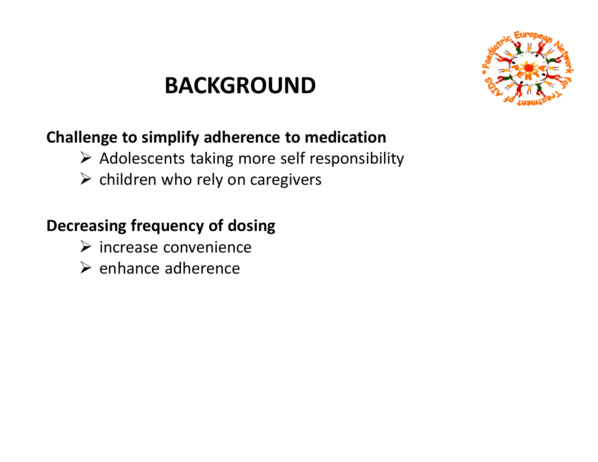### **BACKGROUND**



#### **Challenge to simplify adherence to medication**

- $\triangleright$  Adolescents taking more self responsibility
- $\triangleright$  children who rely on caregivers

#### **Decreasing frequency of dosing**

- $\triangleright$  increase convenience
- $\triangleright$  enhance adherence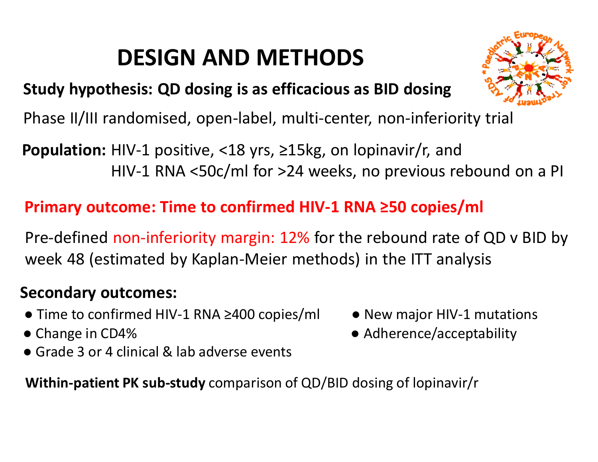## **DESIGN AND METHODS**



#### **Study hypothesis: QD dosing is as efficacious as BID dosing**

Phase II/III randomised, open-label, multi-center, non-inferiority trial

**Population:** HIV-1 positive, <18 yrs, ≥15kg, on lopinavir/r, andHIV-1 RNA <50c/ml for >24 weeks, no previous rebound on a PI

#### **Primary outcome: Time to confirmed HIV-1 RNA ≥50 copies/ml**

Pre-defined non-inferiority margin: 12% for the rebound rate of QD v BID by week 48 (estimated by Kaplan-Meier methods) in the ITT analysis

#### **Secondary outcomes:**

- $\bullet$  Time to confirmed HIV-1 RNA ≥400 copies/ml  $\qquad \bullet$  New major HIV-1 mutations
- Change in CD4%
- Grade 3 or 4 clinical & lab adverse events
- 
- Adherence/acceptability
- **Within-patient PK sub-study** comparison of QD/BID dosing of lopinavir/r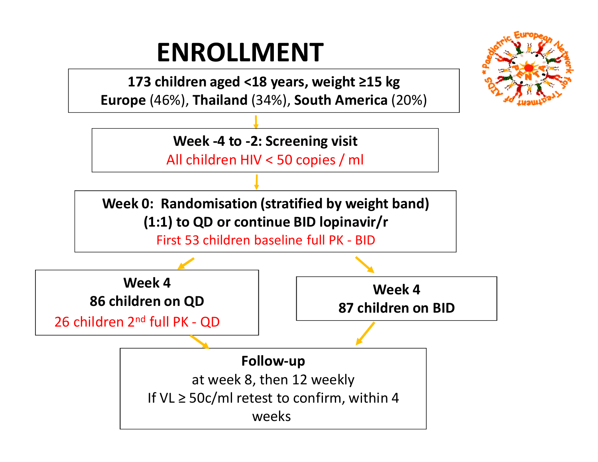# **ENROLLMENT**

 **173 children aged <18 years, weight ≥15 kgEurope** (46%), **Thailand** (34%), **South America** (20%)

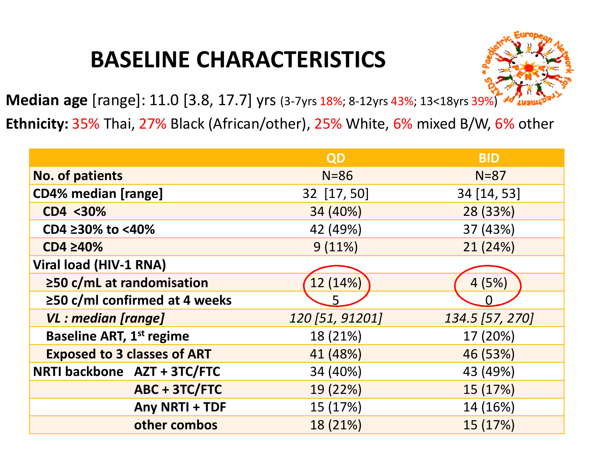### **BASELINE CHARACTERISTICS**



**Median age** [range]: 11.0 [3.8, 17.7] yrs (3-7yrs 18%; 8-12yrs 43%; 13<18yrs 39%)

**Ethnicity:** 35% Thai, 27% Black (African/other), 25% White, 6% mixed B/W, 6% other

|                                     | QD              | <b>BID</b>      |
|-------------------------------------|-----------------|-----------------|
| <b>No. of patients</b>              | $N = 86$        | $N=87$          |
| <b>CD4% median [range]</b>          | 32 [17, 50]     | 34 [14, 53]     |
| CD4 <30%                            | 34 (40%)        | 28 (33%)        |
| CD4 ≥30% to <40%                    | 42 (49%)        | 37 (43%)        |
| CD4 ≥40%                            | 9(11%)          | 21 (24%)        |
| Viral load (HIV-1 RNA)              |                 |                 |
| $\geq$ 50 c/mL at randomisation     | 12 (14%)        | 4(5%)           |
| $\geq$ 50 c/ml confirmed at 4 weeks | 5               |                 |
| <b>VL</b> : median [range]          | 120 [51, 91201] | 134.5 [57, 270] |
| <b>Baseline ART, 1st regime</b>     | 18 (21%)        | 17 (20%)        |
| <b>Exposed to 3 classes of ART</b>  | 41 (48%)        | 46 (53%)        |
| NRTI backbone AZT + 3TC/FTC         | 34 (40%)        | 43 (49%)        |
| ABC + 3TC/FTC                       | 19 (22%)        | 15 (17%)        |
| Any NRTI + TDF                      | 15 (17%)        | 14 (16%)        |
| other combos                        | 18 (21%)        | 15 (17%)        |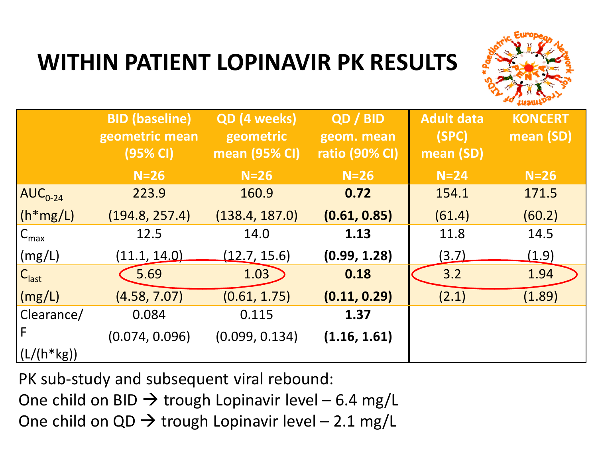

### **WITHIN PATIENT LOPINAVIR PK RESULTS**

|                                         | <b>BID (baseline)</b><br>geometric mean<br>$(95%$ CI) | <b>QD</b> (4 weeks)<br>geometric<br>mean (95% CI) | QD / BID<br>geom. mean<br><b>ratio (90% CI)</b> | <b>Adult data</b><br>(SPC)<br>mean (SD) | <b>KONCERT</b><br>mean (SD) |
|-----------------------------------------|-------------------------------------------------------|---------------------------------------------------|-------------------------------------------------|-----------------------------------------|-----------------------------|
|                                         | $N=26$                                                | $N=26$                                            | $N=26$                                          | $N=24$                                  | $N=26$                      |
| $\overline{\mathsf{AUC}_{0\text{-}24}}$ | 223.9                                                 | 160.9                                             | 0.72                                            | 154.1                                   | 171.5                       |
| $\lfloor$ (h*mg/L)                      | (194.8, 257.4)                                        | (138.4, 187.0)                                    | (0.61, 0.85)                                    | (61.4)                                  | (60.2)                      |
| $C_{\text{max}}$                        | 12.5                                                  | 14.0                                              | 1.13                                            | 11.8                                    | 14.5                        |
| (mg/L)                                  | (11.1, 14.0)                                          | (12.7, 15.6)                                      | (0.99, 1.28)                                    | <u>(3.7)</u>                            | (1.9)                       |
| $ C_{\text{last}} $                     | 5.69                                                  | 1.03                                              | 0.18                                            | 3.2                                     | 1.94                        |
| $\vert$ (mg/L)                          | (4.58, 7.07)                                          | (0.61, 1.75)                                      | (0.11, 0.29)                                    | (2.1)                                   | (1.89)                      |
| Clearance/                              | 0.084                                                 | 0.115                                             | 1.37                                            |                                         |                             |
| F                                       | (0.074, 0.096)                                        | (0.099, 0.134)                                    | (1.16, 1.61)                                    |                                         |                             |
| $(L/(h*kg))$                            |                                                       |                                                   |                                                 |                                         |                             |

PK sub-study and subsequent viral rebound:

One child on BID → trough Lopinavir level – 6.4 mg/L<br>One child on OD → trough Lopinavir level – 2.1 mg/L

One child on QD  $\rightarrow$  trough Lopinavir level – 2.1 mg/L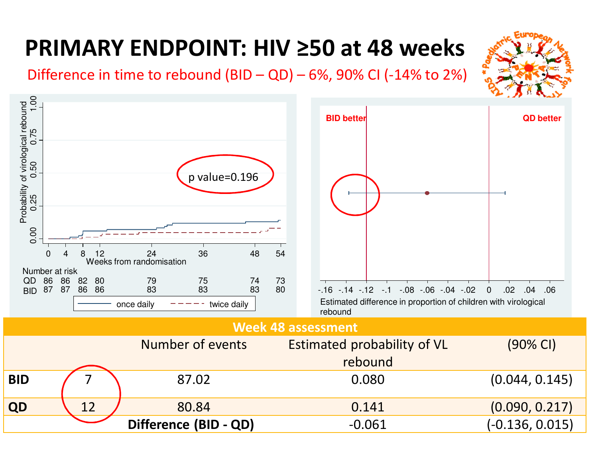## **PRIMARY ENDPOINT: HIV ≥50 at 48 weeks**

Difference in time to rebound  $(BID - QD) - 6$ %, 90% CI (-14% to 2%)



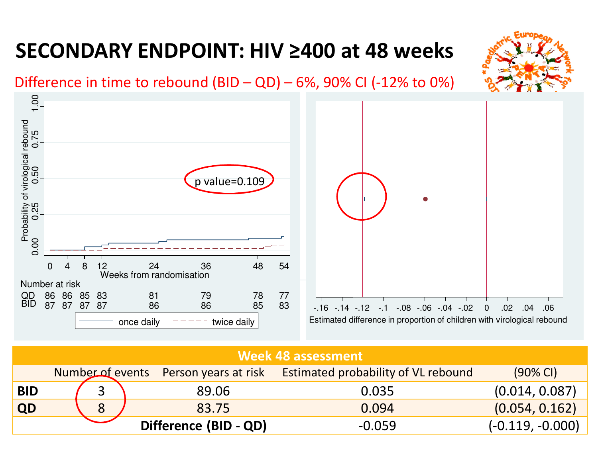#### **SECONDARY ENDPOINT: HIV ≥400 at 48 weeks**





#### **Week 48 assessment**

|            |   | Number of events Person years at risk | <b>Estimated probability of VL rebound</b> | $(90\% \text{ Cl})$ |
|------------|---|---------------------------------------|--------------------------------------------|---------------------|
| <b>BID</b> |   | 89.06                                 | 0.035                                      | (0.014, 0.087)      |
| QD         | 8 | 83.75                                 | 0.094                                      | (0.054, 0.162)      |
|            |   | Difference (BID - QD)                 | $-0.059$                                   | $(-0.119, -0.000)$  |
|            |   |                                       |                                            |                     |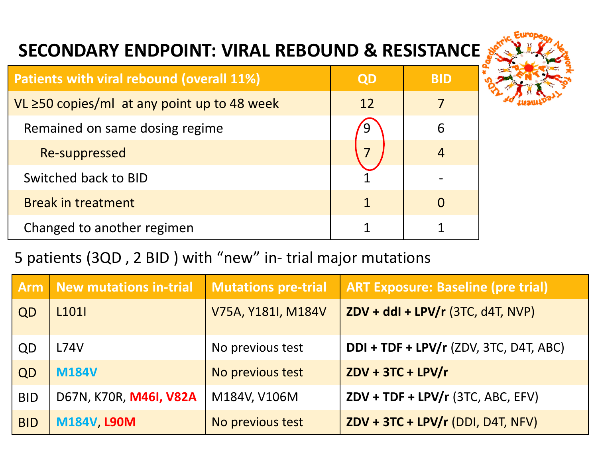#### **SECONDARY ENDPOINT: VIRAL REBOUND & RESISTANCE**



| <b>Patients with viral rebound (overall 11%)</b> | QD | BID |
|--------------------------------------------------|----|-----|
| VL ≥50 copies/ml at any point up to 48 week      | 12 |     |
| Remained on same dosing regime                   |    | 6   |
| Re-suppressed                                    |    |     |
| Switched back to BID                             |    |     |
| <b>Break in treatment</b>                        | 1  |     |
| Changed to another regimen                       |    |     |

#### 5 patients (3QD , 2 BID ) with "new" in- trial major mutations

| <b>Arm</b> | New mutations in-trial | <b>Mutations pre-trial</b> | <b>ART Exposure: Baseline (pre trial)</b> |
|------------|------------------------|----------------------------|-------------------------------------------|
| QD         | L <sub>101</sub>       | V75A, Y181I, M184V         | $ZDV + ddI + LPV/r$ (3TC, d4T, NVP)       |
| QD         | L74V                   | No previous test           | $DDI + TDF + LPV/r$ (ZDV, 3TC, D4T, ABC)  |
| QD         | <b>M184V</b>           | No previous test           | $ZDV + 3TC + LPV/r$                       |
| <b>BID</b> | D67N, K70R, M46I, V82A | M184V, V106M               | $ZDV + TDF + LPV/r$ (3TC, ABC, EFV)       |
| <b>BID</b> | M184V, L90M            | No previous test           | $ZDV + 3TC + LPV/r (DDI, DAT, NFV)$       |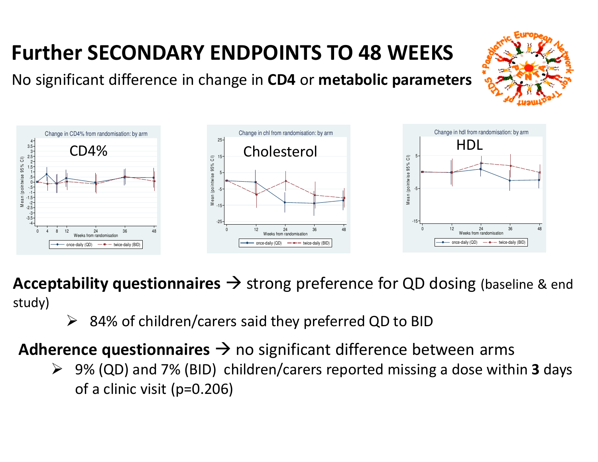#### **Further SECONDARY ENDPOINTS TO 48 WEEKS**

No significant difference in change in **CD4** or **metabolic parameters**



**Acceptability questionnaires**  $\rightarrow$  strong preference for QD dosing (baseline & end<br>study) study)

 $\blacktriangleright$ 84% of children/carers said they preferred QD to BID

**Adherence questionnaires**  $\rightarrow$  no significant difference between arms<br>Adherence questionnaires  $\rightarrow$  no significant difference between arms

 9% (QD) and 7% (BID) children/carers reported missing a dose within **3** days of a clinic visit (p=0.206)

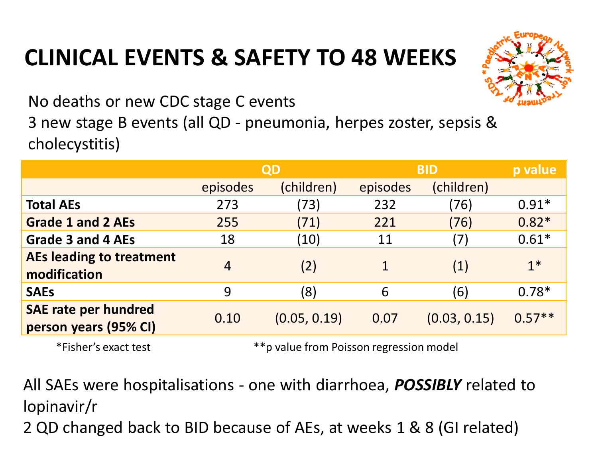### **CLINICAL EVENTS & SAFETY TO 48 WEEKS**



No deaths or new CDC stage C events3 new stage B events (all QD - pneumonia, herpes zoster, sepsis & cholecystitis)

|                                                      | QD       |              | <b>BID</b>   |              | p value  |
|------------------------------------------------------|----------|--------------|--------------|--------------|----------|
|                                                      | episodes | (children)   | episodes     | (children)   |          |
| <b>Total AEs</b>                                     | 273      | (73)         | 232          | (76)         | $0.91*$  |
| <b>Grade 1 and 2 AEs</b>                             | 255      | (71)         | 221          | (76)         | $0.82*$  |
| <b>Grade 3 and 4 AEs</b>                             | 18       | (10)         | 11           | (7)          | $0.61*$  |
| AEs leading to treatment<br>modification             | 4        | (2)          | $\mathbf{1}$ | (1)          | $1*$     |
| <b>SAEs</b>                                          | 9        | (8)          | 6            | (6)          | $0.78*$  |
| <b>SAE rate per hundred</b><br>person years (95% CI) | 0.10     | (0.05, 0.19) | 0.07         | (0.03, 0.15) | $0.57**$ |
| $*Fichor's QYQc+HQc+$                                |          |              |              |              |          |

\*Fisher's exact test \*\*p value from Poisson regression model

All SAEs were hospitalisations - one with diarrhoea, *POSSIBLY* related to lopinavir/r

2 QD changed back to BID because of AEs, at weeks 1 & 8 (GI related)